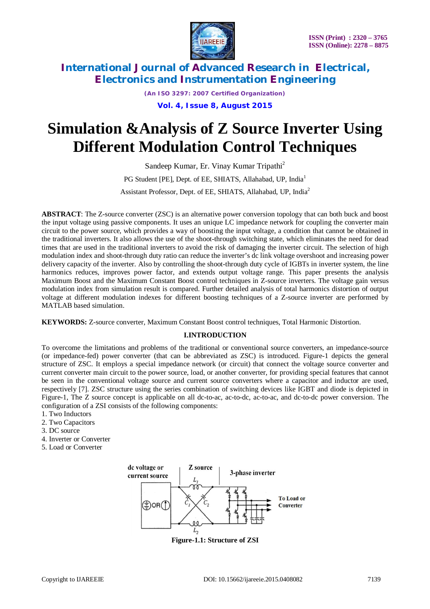

*(An ISO 3297: 2007 Certified Organization)*

**Vol. 4, Issue 8, August 2015**

# **Simulation &Analysis of Z Source Inverter Using Different Modulation Control Techniques**

Sandeep Kumar, Er. Vinay Kumar Tripathi<sup>2</sup> PG Student [PE], Dept. of EE, SHIATS, Allahabad, UP, India<sup>1</sup> Assistant Professor, Dept. of EE, SHIATS, Allahabad, UP, India<sup>2</sup>

**ABSTRACT**: The Z-source converter (ZSC) is an alternative power conversion topology that can both buck and boost the input voltage using passive components. It uses an unique LC impedance network for coupling the converter main circuit to the power source, which provides a way of boosting the input voltage, a condition that cannot be obtained in the traditional inverters. It also allows the use of the shoot-through switching state, which eliminates the need for dead times that are used in the traditional inverters to avoid the risk of damaging the inverter circuit. The selection of high modulation index and shoot-through duty ratio can reduce the inverter's dc link voltage overshoot and increasing power delivery capacity of the inverter. Also by controlling the shoot-through duty cycle of IGBTs in inverter system, the line harmonics reduces, improves power factor, and extends output voltage range. This paper presents the analysis Maximum Boost and the Maximum Constant Boost control techniques in Z-source inverters. The voltage gain versus modulation index from simulation result is compared. Further detailed analysis of total harmonics distortion of output voltage at different modulation indexes for different boosting techniques of a Z-source inverter are performed by MATLAB based simulation.

**KEYWORDS:** Z-source converter, Maximum Constant Boost control techniques, Total Harmonic Distortion.

### **I.INTRODUCTION**

To overcome the limitations and problems of the traditional or conventional source converters, an impedance-source (or impedance-fed) power converter (that can be abbreviated as ZSC) is introduced. Figure-1 depicts the general structure of ZSC. It employs a special impedance network (or circuit) that connect the voltage source converter and current converter main circuit to the power source, load, or another converter, for providing special features that cannot be seen in the conventional voltage source and current source converters where a capacitor and inductor are used, respectively [7]. ZSC structure using the series combination of switching devices like IGBT and diode is depicted in Figure-1, The Z source concept is applicable on all dc-to-ac, ac-to-dc, ac-to-ac, and dc-to-dc power conversion. The configuration of a ZSI consists of the following components:

- 1. Two Inductors
- 2. Two Capacitors
- 3. DC source
- 4. Inverter or Converter
- 5. Load or Converter



**Figure-1.1: Structure of ZSI**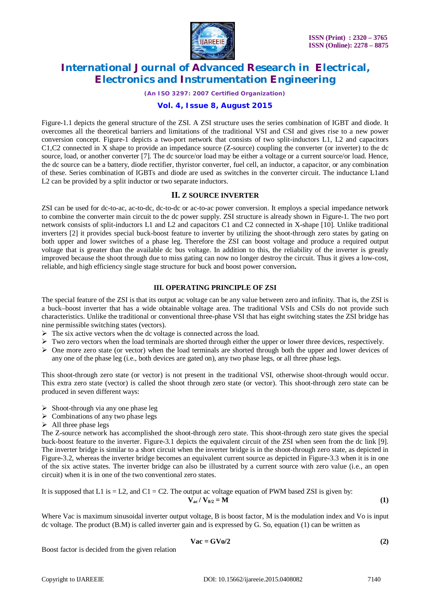

*(An ISO 3297: 2007 Certified Organization)*

### **Vol. 4, Issue 8, August 2015**

Figure-1.1 depicts the general structure of the ZSI. A ZSI structure uses the series combination of IGBT and diode. It overcomes all the theoretical barriers and limitations of the traditional VSI and CSI and gives rise to a new power conversion concept. Figure-1 depicts a two-port network that consists of two split-inductors L1, L2 and capacitors C1,C2 connected in X shape to provide an impedance source (Z-source) coupling the converter (or inverter) to the dc source, load, or another converter [7]. The dc source/or load may be either a voltage or a current source/or load. Hence, the dc source can be a battery, diode rectifier, thyristor converter, fuel cell, an inductor, a capacitor, or any combination of these. Series combination of IGBTs and diode are used as switches in the converter circuit. The inductance L1and L2 can be provided by a split inductor or two separate inductors.

### **II. Z SOURCE INVERTER**

ZSI can be used for dc-to-ac, ac-to-dc, dc-to-dc or ac-to-ac power conversion. It employs a special impedance network to combine the converter main circuit to the dc power supply. ZSI structure is already shown in Figure-1. The two port network consists of split-inductors L1 and L2 and capacitors C1 and C2 connected in X-shape [10]. Unlike traditional inverters [2] it provides special buck-boost feature to inverter by utilizing the shoot-through zero states by gating on both upper and lower switches of a phase leg. Therefore the ZSI can boost voltage and produce a required output voltage that is greater than the available dc bus voltage. In addition to this, the reliability of the inverter is greatly improved because the shoot through due to miss gating can now no longer destroy the circuit. Thus it gives a low-cost, reliable, and high efficiency single stage structure for buck and boost power conversion**.** 

### **III. OPERATING PRINCIPLE OF ZSI**

The special feature of the ZSI is that its output ac voltage can be any value between zero and infinity. That is, the ZSI is a buck–boost inverter that has a wide obtainable voltage area. The traditional VSIs and CSIs do not provide such characteristics. Unlike the traditional or conventional three-phase VSI that has eight switching states the ZSI bridge has nine permissible switching states (vectors).

- $\triangleright$  The six active vectors when the dc voltage is connected across the load.
- $\triangleright$  Two zero vectors when the load terminals are shorted through either the upper or lower three devices, respectively.
- $\triangleright$  One more zero state (or vector) when the load terminals are shorted through both the upper and lower devices of any one of the phase leg (i.e., both devices are gated on), any two phase legs, or all three phase legs.

This shoot-through zero state (or vector) is not present in the traditional VSI, otherwise shoot-through would occur. This extra zero state (vector) is called the shoot through zero state (or vector). This shoot-through zero state can be produced in seven different ways:

- $\triangleright$  Shoot-through via any one phase leg
- $\triangleright$  Combinations of any two phase legs
- $\triangleright$  All three phase legs

The Z-source network has accomplished the shoot-through zero state. This shoot-through zero state gives the special buck-boost feature to the inverter. Figure-3.1 depicts the equivalent circuit of the ZSI when seen from the dc link [9]. The inverter bridge is similar to a short circuit when the inverter bridge is in the shoot-through zero state, as depicted in Figure-3.2, whereas the inverter bridge becomes an equivalent current source as depicted in Figure-3.3 when it is in one of the six active states. The inverter bridge can also be illustrated by a current source with zero value (i.e., an open circuit) when it is in one of the two conventional zero states.

It is supposed that L1 is = L2, and C1 = C2. The output ac voltage equation of PWM based ZSI is given by:  
\n
$$
\mathbf{V}_{ac} / \mathbf{V}_{0/2} = \mathbf{M}
$$
\n(1)

Where Vac is maximum sinusoidal inverter output voltage, B is boost factor, M is the modulation index and Vo is input dc voltage. The product (B.M) is called inverter gain and is expressed by G. So, equation (1) can be written as

$$
Vac = GVo/2
$$
 (2)

Boost factor is decided from the given relation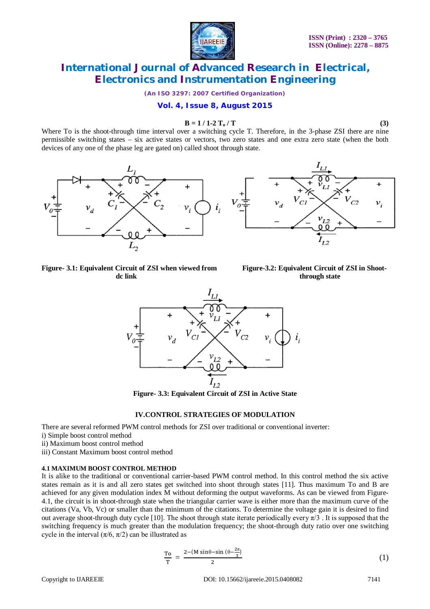

*(An ISO 3297: 2007 Certified Organization)*

**Vol. 4, Issue 8, August 2015**

#### $B = 1 / 1 - 2 T_0 / T$  (3)

Where To is the shoot-through time interval over a switching cycle T. Therefore, in the 3-phase ZSI there are nine permissible switching states – six active states or vectors, two zero states and one extra zero state (when the both devices of any one of the phase leg are gated on) called shoot through state.





**Figure-** 3.1: Equivalent Circuit of ZSI when viewed from Figure-3.2: Equivalent Circuit of ZSI in Shoot-<br>dc link through state





**Figure- 3.3: Equivalent Circuit of ZSI in Active State**

#### **IV.CONTROL STRATEGIES OF MODULATION**

There are several reformed PWM control methods for ZSI over traditional or conventional inverter:

- i) Simple boost control method
- ii) Maximum boost control method
- iii) Constant Maximum boost control method

#### **4.1 MAXIMUM BOOST CONTROL METHOD**

It is alike to the traditional or conventional carrier-based PWM control method. In this control method the six active states remain as it is and all zero states get switched into shoot through states [11]. Thus maximum To and B are achieved for any given modulation index M without deforming the output waveforms. As can be viewed from Figure-4.1, the circuit is in shoot-through state when the triangular carrier wave is either more than the maximum curve of the citations (Va, Vb, Vc) or smaller than the minimum of the citations. To determine the voltage gain it is desired to find out average shoot-through duty cycle [10]. The shoot through state iterate periodically every  $\pi/3$ . It is supposed that the switching frequency is much greater than the modulation frequency; the shoot-through duty ratio over one switching cycle in the interval  $(\pi/6, \pi/2)$  can be illustrated as

$$
\frac{\text{To}}{\text{T}} = \frac{2 - (M\sin\theta - \sin\left(\theta - \frac{2\pi}{3}\right))}{2}
$$
 (1)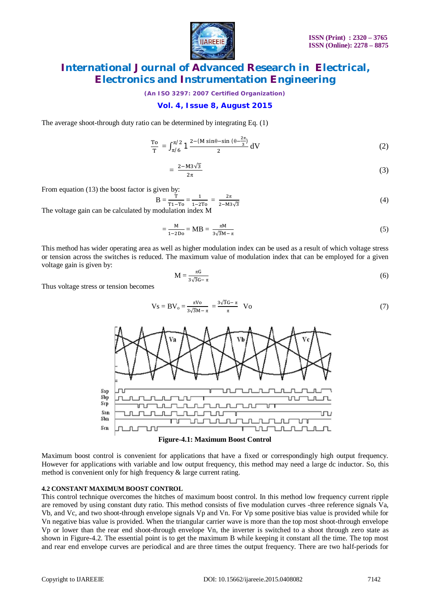

*(An ISO 3297: 2007 Certified Organization)*

### **Vol. 4, Issue 8, August 2015**

The average shoot-through duty ratio can be determined by integrating Eq. (1)

$$
\frac{\text{To}}{\text{T}} = \int_{\pi/6}^{\pi/2} 1 \frac{2 - (M \sin \theta - \sin (\theta - \frac{2\pi}{3})}{2} \, \text{d}V \tag{2}
$$

$$
=\frac{2-M3\sqrt{3}}{2\pi}\tag{3}
$$

From equation (13) the boost factor is given by:

$$
B = \frac{T}{T_1 - T_0} = \frac{1}{1 - 2T_0} = \frac{2\pi}{2 - M_3\sqrt{3}}
$$
(4)

The voltage gain can be calculated by modulation index M

$$
=\frac{M}{1-2Do} = MB = \frac{\pi M}{3\sqrt{3}M - \pi}
$$
\n(5)

This method has wider operating area as well as higher modulation index can be used as a result of which voltage stress or tension across the switches is reduced. The maximum value of modulation index that can be employed for a given voltage gain is given by:

$$
M = \frac{\pi G}{3\sqrt{3}G - \pi}
$$
 (6)

Thus voltage stress or tension becomes

$$
Vs = BV_o = \frac{\pi V o}{3\sqrt{3}M - \pi} = \frac{3\sqrt{3}G - \pi}{\pi} V o
$$
\n<sup>(7)</sup>





Maximum boost control is convenient for applications that have a fixed or correspondingly high output frequency. However for applications with variable and low output frequency, this method may need a large dc inductor. So, this method is convenient only for high frequency & large current rating.

#### **4.2 CONSTANT MAXIMUM BOOST CONTROL**

This control technique overcomes the hitches of maximum boost control. In this method low frequency current ripple are removed by using constant duty ratio. This method consists of five modulation curves -three reference signals Va, Vb, and Vc, and two shoot-through envelope signals Vp and Vn. For Vp some positive bias value is provided while for Vn negative bias value is provided. When the triangular carrier wave is more than the top most shoot-through envelope Vp or lower than the rear end shoot-through envelope Vn, the inverter is switched to a shoot through zero state as shown in Figure-4.2. The essential point is to get the maximum B while keeping it constant all the time. The top most and rear end envelope curves are periodical and are three times the output frequency. There are two half-periods for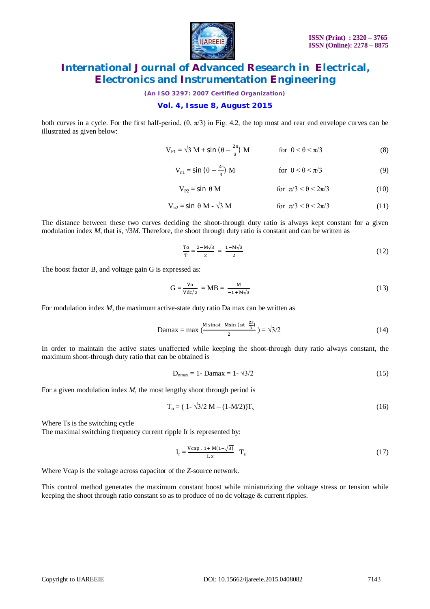

*(An ISO 3297: 2007 Certified Organization)*

### **Vol. 4, Issue 8, August 2015**

both curves in a cycle. For the first half-period,  $(0, \pi/3)$  in Fig. 4.2, the top most and rear end envelope curves can be illustrated as given below:

$$
V_{\text{PI}} = \sqrt{3} M + \sin \left(\theta - \frac{2\pi}{3}\right) M \qquad \text{for } 0 < \theta < \pi/3 \tag{8}
$$

$$
V_{n1} = \sin\left(\theta - \frac{2\pi}{3}\right) M \qquad \text{for } 0 < \theta < \pi/3 \tag{9}
$$

$$
V_{P2} = \sin \theta M \qquad \text{for } \pi/3 < \theta < 2\pi/3 \tag{10}
$$

$$
V_{n2} = \sin \theta \, M - \sqrt{3} \, M \qquad \qquad \text{for } \pi/3 < \theta < 2\pi/3 \tag{11}
$$

The distance between these two curves deciding the shoot-through duty ratio is always kept constant for a given modulation index *M*, that is, *√*3*M*. Therefore, the shoot through duty ratio is constant and can be written as

$$
\frac{\text{To}}{\text{T}} = \frac{2 - \text{M}\sqrt{3}}{2} = \frac{1 - \text{M}\sqrt{3}}{2}
$$
 (12)

The boost factor B, and voltage gain G is expressed as:

$$
G = \frac{V_0}{Vdc/2} = MB = \frac{M}{-1 + M\sqrt{3}}
$$
(13)

For modulation index *M*, the maximum active-state duty ratio Da max can be written as

$$
Damax = max \left(\frac{M \sin \omega t - M \sin \left(\omega t - \frac{2\pi}{3}\right)}{2}\right) = \sqrt{3}/2\tag{14}
$$

In order to maintain the active states unaffected while keeping the shoot-through duty ratio always constant, the maximum shoot-through duty ratio that can be obtained is

$$
D_{\text{omax}} = 1 - \text{Danax} = 1 - \sqrt{3}/2\tag{15}
$$

For a given modulation index *M*, the most lengthy shoot through period is

$$
T_o = (1 - \sqrt{3}/2 M - (1 - M/2))T_s
$$
 (16)

Where Ts is the switching cycle

The maximal switching frequency current ripple Ir is represented by:

$$
I_r = \frac{Vcap. 1 + M(1 - \sqrt{3})}{L 2} T_s
$$
 (17)

Where Vcap is the voltage across capacitor of the *Z*-source network.

This control method generates the maximum constant boost while miniaturizing the voltage stress or tension while keeping the shoot through ratio constant so as to produce of no dc voltage & current ripples.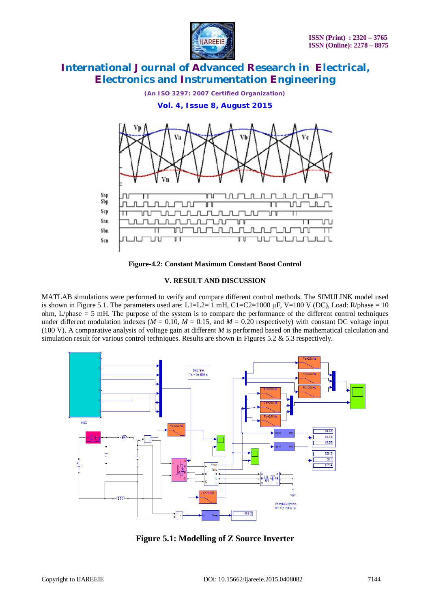



**Figure-4.2: Constant Maximum Constant Boost Control**

### **V. RESULT AND DISCUSSION**

MATLAB simulations were performed to verify and compare different control methods. The SIMULINK model used is shown in Figure 5.1. The parameters used are:  $L1=L2=1$  mH, C1=C2=1000  $\mu$ F, V=100 V (DC), Load: R/phase = 10 ohm, L/phase = 5 mH. The purpose of the system is to compare the performance of the different control techniques under different modulation indexes ( $M = 0.10$ ,  $M = 0.15$ , and  $M = 0.20$  respectively) with constant DC voltage input (100 V). A comparative analysis of voltage gain at different *M* is performed based on the mathematical calculation and simulation result for various control techniques. Results are shown in Figures 5.2  $\&$  5.3 respectively.



**Figure 5.1: Modelling of Z Source Inverter**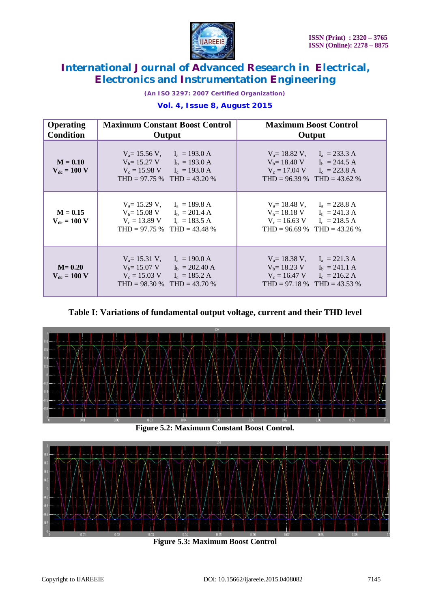

*(An ISO 3297: 2007 Certified Organization)*

### **Vol. 4, Issue 8, August 2015**

| <b>Operating</b><br><b>Condition</b> | <b>Maximum Constant Boost Control</b><br>Output                                                                                                                            | <b>Maximum Boost Control</b><br>Output                                                                                                                    |
|--------------------------------------|----------------------------------------------------------------------------------------------------------------------------------------------------------------------------|-----------------------------------------------------------------------------------------------------------------------------------------------------------|
| $M = 0.10$<br>$V_{dc} = 100 V$       | $V_a = 15.56 V$ , $I_a = 193.0 A$<br>$V_b = 15.27 \text{ V}$ $I_b = 193.0 \text{ A}$<br>$V_c = 15.98 \text{ V}$ $I_c = 193.0 \text{ A}$<br>THD = $97.75\%$ THD = $43.20\%$ | $V_a = 18.82$ V, $I_a = 233.3$ A<br>$V_b = 18.40 \text{ V}$ $I_b = 244.5 \text{ A}$<br>$V_c = 17.04$ V $I_c = 223.8$ A<br>THD = $96.39\%$ THD = $43.62\%$ |
| $M = 0.15$<br>$V_{dc} = 100 V$       | $V_a = 15.29 V$ , $I_a = 189.8 A$<br>$V_b = 15.08 \text{ V}$ $I_b = 201.4 \text{ A}$<br>$V_c = 13.89 \text{ V}$ $I_c = 183.5 \text{ A}$<br>THD = $97.75\%$ THD = $43.48\%$ | $V_a = 18.48$ V, $I_a = 228.8$ A<br>$V_b = 18.18 \text{ V}$ $I_b = 241.3 \text{ A}$<br>$V_c = 16.63$ V $I_c = 218.5$ A<br>THD = $96.69\%$ THD = $43.26\%$ |
| $M = 0.20$<br>$V_{dc} = 100 V$       | $V_a = 15.31$ V, $I_a = 190.0$ A<br>$V_b = 15.07$ V $I_b = 202.40$ A<br>$V_c = 15.03$ V $I_c = 185.2$ A<br>THD = $98.30\%$ THD = $43.70\%$                                 | $V_a = 18.38 V$ , $I_a = 221.3 A$<br>$V_b = 18.23$ V $I_b = 241.1$ A<br>$V_c = 16.47$ V $I_c = 216.2$ A<br>THD = $97.18\%$ THD = $43.53\%$                |

### **Table I: Variations of fundamental output voltage, current and their THD level**



**Figure 5.2: Maximum Constant Boost Control.**



**Figure 5.3: Maximum Boost Control**